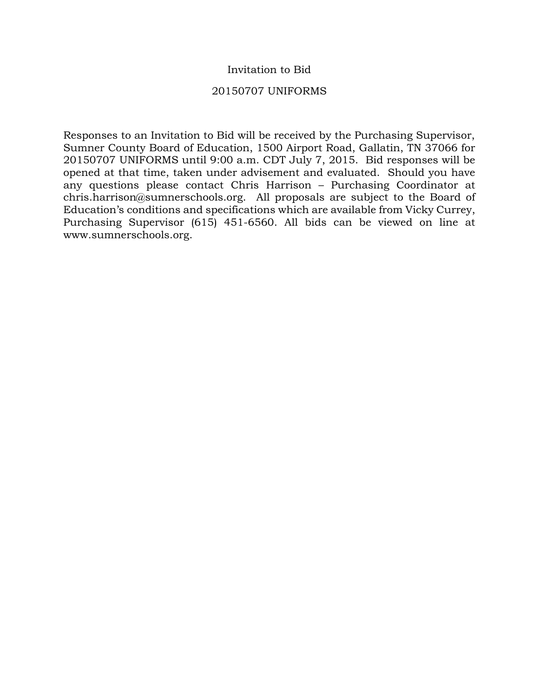### Invitation to Bid

#### 20150707 UNIFORMS

Responses to an Invitation to Bid will be received by the Purchasing Supervisor, Sumner County Board of Education, 1500 Airport Road, Gallatin, TN 37066 for 20150707 UNIFORMS until 9:00 a.m. CDT July 7, 2015. Bid responses will be opened at that time, taken under advisement and evaluated. Should you have any questions please contact Chris Harrison – Purchasing Coordinator at chris.harrison@sumnerschools.org. All proposals are subject to the Board of Education's conditions and specifications which are available from Vicky Currey, Purchasing Supervisor (615) 451-6560. All bids can be viewed on line at www.sumnerschools.org.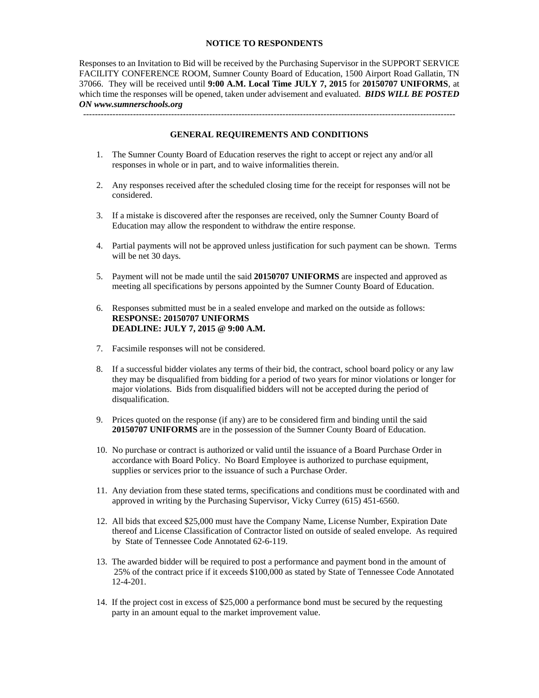#### **NOTICE TO RESPONDENTS**

Responses to an Invitation to Bid will be received by the Purchasing Supervisor in the SUPPORT SERVICE FACILITY CONFERENCE ROOM, Sumner County Board of Education, 1500 Airport Road Gallatin, TN 37066. They will be received until **9:00 A.M. Local Time JULY 7, 2015** for **20150707 UNIFORMS**, at which time the responses will be opened, taken under advisement and evaluated. *BIDS WILL BE POSTED ON www.sumnerschools.org* 

#### **GENERAL REQUIREMENTS AND CONDITIONS**

-------------------------------------------------------------------------------------------------------------------------------

- 1. The Sumner County Board of Education reserves the right to accept or reject any and/or all responses in whole or in part, and to waive informalities therein.
- 2. Any responses received after the scheduled closing time for the receipt for responses will not be considered.
- 3. If a mistake is discovered after the responses are received, only the Sumner County Board of Education may allow the respondent to withdraw the entire response.
- 4. Partial payments will not be approved unless justification for such payment can be shown. Terms will be net 30 days.
- 5. Payment will not be made until the said **20150707 UNIFORMS** are inspected and approved as meeting all specifications by persons appointed by the Sumner County Board of Education.
- 6. Responses submitted must be in a sealed envelope and marked on the outside as follows: **RESPONSE: 20150707 UNIFORMS DEADLINE: JULY 7, 2015 @ 9:00 A.M.**
- 7. Facsimile responses will not be considered.
- 8. If a successful bidder violates any terms of their bid, the contract, school board policy or any law they may be disqualified from bidding for a period of two years for minor violations or longer for major violations. Bids from disqualified bidders will not be accepted during the period of disqualification.
- 9. Prices quoted on the response (if any) are to be considered firm and binding until the said **20150707 UNIFORMS** are in the possession of the Sumner County Board of Education.
- 10. No purchase or contract is authorized or valid until the issuance of a Board Purchase Order in accordance with Board Policy. No Board Employee is authorized to purchase equipment, supplies or services prior to the issuance of such a Purchase Order.
- 11. Any deviation from these stated terms, specifications and conditions must be coordinated with and approved in writing by the Purchasing Supervisor, Vicky Currey (615) 451-6560.
- 12. All bids that exceed \$25,000 must have the Company Name, License Number, Expiration Date thereof and License Classification of Contractor listed on outside of sealed envelope. As required by State of Tennessee Code Annotated 62-6-119.
- 13. The awarded bidder will be required to post a performance and payment bond in the amount of 25% of the contract price if it exceeds \$100,000 as stated by State of Tennessee Code Annotated 12-4-201.
- 14. If the project cost in excess of \$25,000 a performance bond must be secured by the requesting party in an amount equal to the market improvement value.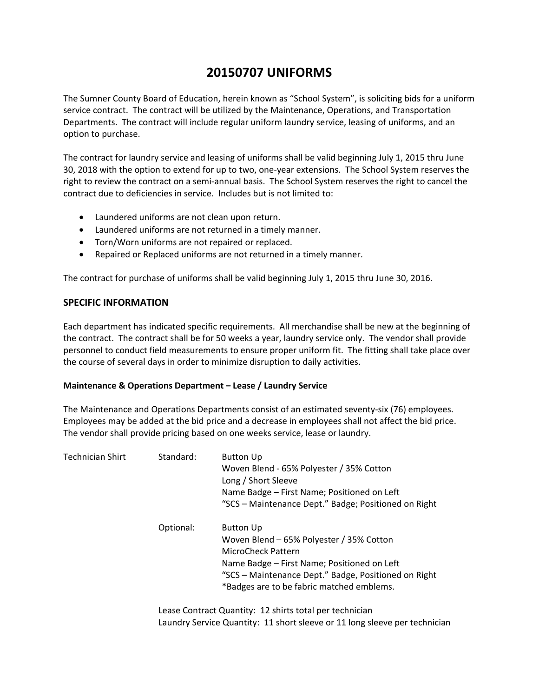# **20150707 UNIFORMS**

The Sumner County Board of Education, herein known as "School System", is soliciting bids for a uniform service contract. The contract will be utilized by the Maintenance, Operations, and Transportation Departments. The contract will include regular uniform laundry service, leasing of uniforms, and an option to purchase.

The contract for laundry service and leasing of uniforms shall be valid beginning July 1, 2015 thru June 30, 2018 with the option to extend for up to two, one‐year extensions. The School System reserves the right to review the contract on a semi‐annual basis. The School System reserves the right to cancel the contract due to deficiencies in service. Includes but is not limited to:

- Laundered uniforms are not clean upon return.
- Laundered uniforms are not returned in a timely manner.
- Torn/Worn uniforms are not repaired or replaced.
- Repaired or Replaced uniforms are not returned in a timely manner.

The contract for purchase of uniforms shall be valid beginning July 1, 2015 thru June 30, 2016.

#### **SPECIFIC INFORMATION**

Each department has indicated specific requirements. All merchandise shall be new at the beginning of the contract. The contract shall be for 50 weeks a year, laundry service only. The vendor shall provide personnel to conduct field measurements to ensure proper uniform fit. The fitting shall take place over the course of several days in order to minimize disruption to daily activities.

#### **Maintenance & Operations Department – Lease / Laundry Service**

The Maintenance and Operations Departments consist of an estimated seventy‐six (76) employees. Employees may be added at the bid price and a decrease in employees shall not affect the bid price. The vendor shall provide pricing based on one weeks service, lease or laundry.

| Technician Shirt | Standard: | <b>Button Up</b><br>Woven Blend - 65% Polyester / 35% Cotton<br>Long / Short Sleeve<br>Name Badge - First Name; Positioned on Left<br>"SCS - Maintenance Dept." Badge; Positioned on Right                                             |
|------------------|-----------|----------------------------------------------------------------------------------------------------------------------------------------------------------------------------------------------------------------------------------------|
|                  | Optional: | <b>Button Up</b><br>Woven Blend - 65% Polyester / 35% Cotton<br>MicroCheck Pattern<br>Name Badge - First Name; Positioned on Left<br>"SCS - Maintenance Dept." Badge, Positioned on Right<br>*Badges are to be fabric matched emblems. |

 Lease Contract Quantity: 12 shirts total per technician Laundry Service Quantity: 11 short sleeve or 11 long sleeve per technician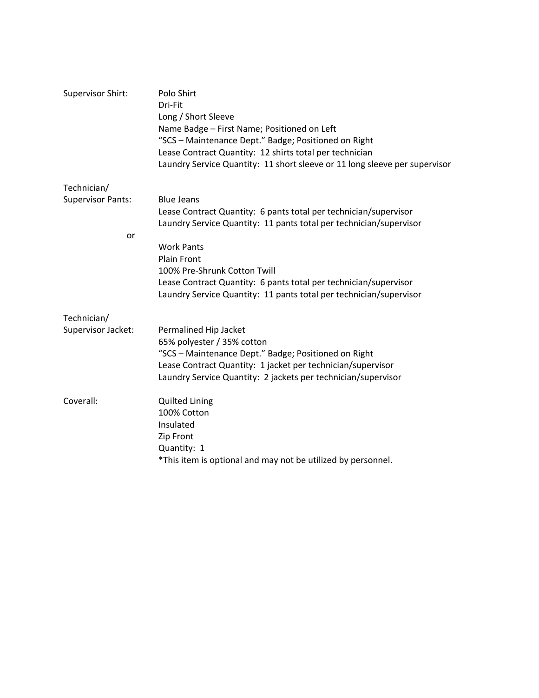| Supervisor Shirt:        | Polo Shirt<br>Dri-Fit<br>Long / Short Sleeve<br>Name Badge - First Name; Positioned on Left<br>"SCS - Maintenance Dept." Badge; Positioned on Right<br>Lease Contract Quantity: 12 shirts total per technician<br>Laundry Service Quantity: 11 short sleeve or 11 long sleeve per supervisor |
|--------------------------|----------------------------------------------------------------------------------------------------------------------------------------------------------------------------------------------------------------------------------------------------------------------------------------------|
| Technician/              |                                                                                                                                                                                                                                                                                              |
| <b>Supervisor Pants:</b> | <b>Blue Jeans</b>                                                                                                                                                                                                                                                                            |
|                          | Lease Contract Quantity: 6 pants total per technician/supervisor<br>Laundry Service Quantity: 11 pants total per technician/supervisor                                                                                                                                                       |
| or                       |                                                                                                                                                                                                                                                                                              |
|                          | <b>Work Pants</b>                                                                                                                                                                                                                                                                            |
|                          | <b>Plain Front</b>                                                                                                                                                                                                                                                                           |
|                          | 100% Pre-Shrunk Cotton Twill                                                                                                                                                                                                                                                                 |
|                          | Lease Contract Quantity: 6 pants total per technician/supervisor<br>Laundry Service Quantity: 11 pants total per technician/supervisor                                                                                                                                                       |
| Technician/              |                                                                                                                                                                                                                                                                                              |
| Supervisor Jacket:       | Permalined Hip Jacket                                                                                                                                                                                                                                                                        |
|                          | 65% polyester / 35% cotton                                                                                                                                                                                                                                                                   |
|                          | "SCS - Maintenance Dept." Badge; Positioned on Right<br>Lease Contract Quantity: 1 jacket per technician/supervisor                                                                                                                                                                          |
|                          | Laundry Service Quantity: 2 jackets per technician/supervisor                                                                                                                                                                                                                                |
| Coverall:                | <b>Quilted Lining</b>                                                                                                                                                                                                                                                                        |
|                          | 100% Cotton                                                                                                                                                                                                                                                                                  |
|                          | Insulated                                                                                                                                                                                                                                                                                    |
|                          | Zip Front                                                                                                                                                                                                                                                                                    |
|                          | Quantity: 1<br>*This item is optional and may not be utilized by personnel.                                                                                                                                                                                                                  |
|                          |                                                                                                                                                                                                                                                                                              |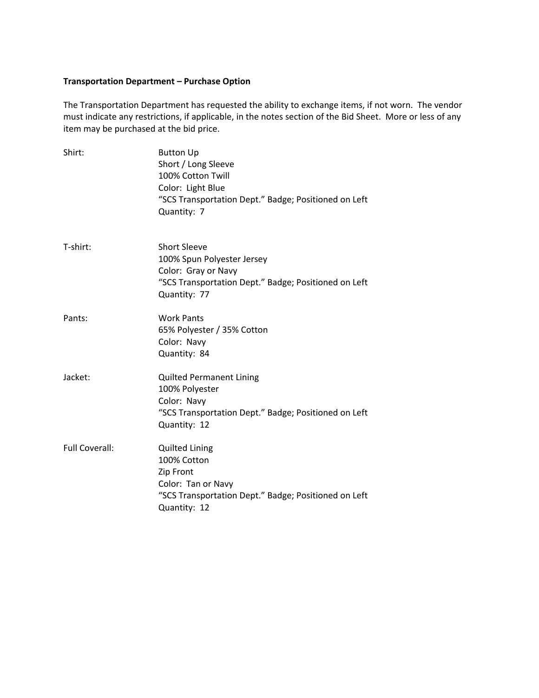## **Transportation Department – Purchase Option**

The Transportation Department has requested the ability to exchange items, if not worn. The vendor must indicate any restrictions, if applicable, in the notes section of the Bid Sheet. More or less of any item may be purchased at the bid price.

| Shirt:                | <b>Button Up</b><br>Short / Long Sleeve<br>100% Cotton Twill<br>Color: Light Blue<br>"SCS Transportation Dept." Badge; Positioned on Left<br>Quantity: 7 |
|-----------------------|----------------------------------------------------------------------------------------------------------------------------------------------------------|
| T-shirt:              | <b>Short Sleeve</b><br>100% Spun Polyester Jersey<br>Color: Gray or Navy<br>"SCS Transportation Dept." Badge; Positioned on Left<br>Quantity: 77         |
| Pants:                | <b>Work Pants</b><br>65% Polyester / 35% Cotton<br>Color: Navy<br>Quantity: 84                                                                           |
| Jacket:               | <b>Quilted Permanent Lining</b><br>100% Polyester<br>Color: Navy<br>"SCS Transportation Dept." Badge; Positioned on Left<br>Quantity: 12                 |
| <b>Full Coverall:</b> | <b>Quilted Lining</b><br>100% Cotton<br>Zip Front<br>Color: Tan or Navy<br>"SCS Transportation Dept." Badge; Positioned on Left<br>Quantity: 12          |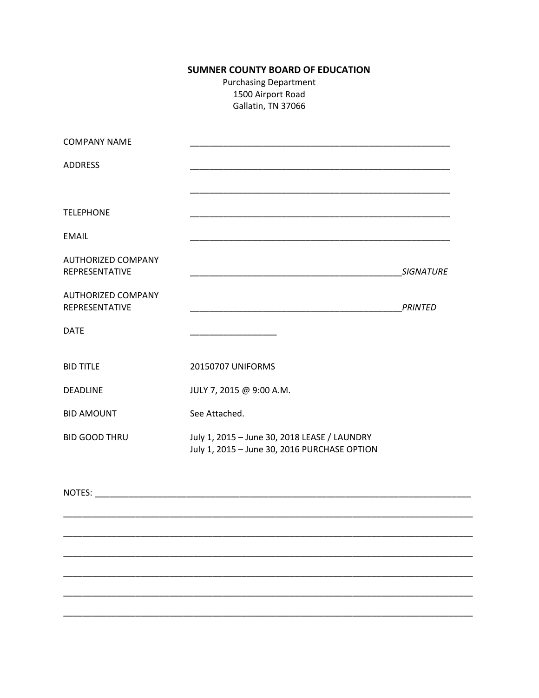## **SUMNER COUNTY BOARD OF EDUCATION**

**Purchasing Department** 1500 Airport Road Gallatin, TN 37066

| <b>COMPANY NAME</b>                         |                                                                                                                      |                  |
|---------------------------------------------|----------------------------------------------------------------------------------------------------------------------|------------------|
| <b>ADDRESS</b>                              |                                                                                                                      |                  |
|                                             |                                                                                                                      |                  |
| <b>TELEPHONE</b>                            |                                                                                                                      |                  |
| <b>EMAIL</b>                                |                                                                                                                      |                  |
| <b>AUTHORIZED COMPANY</b><br>REPRESENTATIVE | <u> 1989 - Johann John Stone, markin film fan it ferstjer fan it ferstjer fan it ferstjer fan it ferstjer fan it</u> | <b>SIGNATURE</b> |
| <b>AUTHORIZED COMPANY</b><br>REPRESENTATIVE |                                                                                                                      | <b>PRINTED</b>   |
| <b>DATE</b>                                 |                                                                                                                      |                  |
| <b>BID TITLE</b>                            | 20150707 UNIFORMS                                                                                                    |                  |
| <b>DEADLINE</b>                             | JULY 7, 2015 @ 9:00 A.M.                                                                                             |                  |
| <b>BID AMOUNT</b>                           | See Attached.                                                                                                        |                  |
| <b>BID GOOD THRU</b>                        | July 1, 2015 - June 30, 2018 LEASE / LAUNDRY<br>July 1, 2015 - June 30, 2016 PURCHASE OPTION                         |                  |
| NOTES: NOTES:                               |                                                                                                                      |                  |
|                                             |                                                                                                                      |                  |
|                                             |                                                                                                                      |                  |
|                                             |                                                                                                                      |                  |
|                                             |                                                                                                                      |                  |
|                                             |                                                                                                                      |                  |